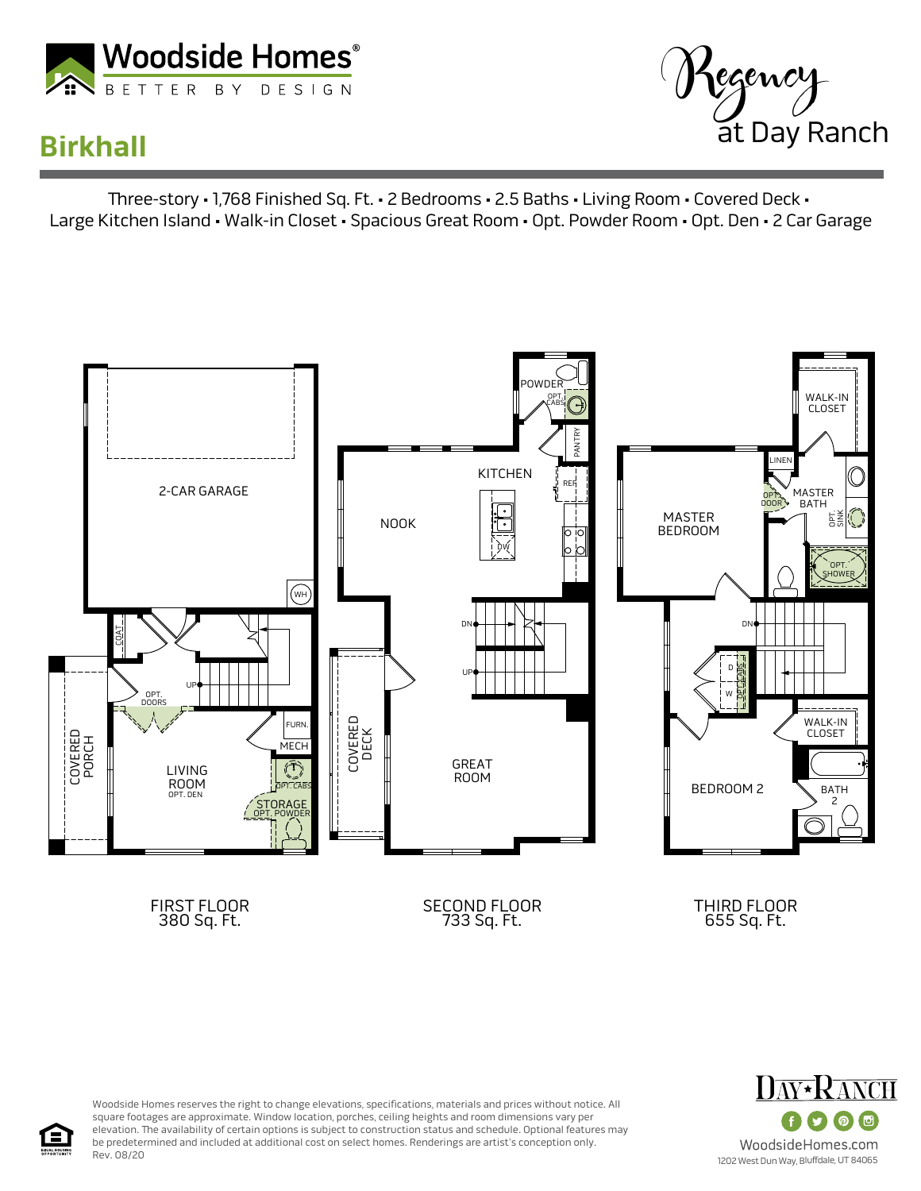

## **Birkhall**



Three-story • 1,768 Finished Sq. Ft. • 2 Bedrooms • 2.5 Baths • Living Room • Covered Deck • Large Kitchen Island • Walk-in Closet • Spacious Great Room • Opt. Powder Room • Opt. Den • 2 Car Garage





Woodside Homes reserves the right to change elevations, specifications, materials and prices without notice. All square footages are approximate. Window location, porches, ceiling heights and room dimensions vary per elevation. The availability of certain options is subject to construction status and schedule. Optional features may be predetermined and included at additional cost on select homes. Renderings are artist's conception only. Rev. 08/20